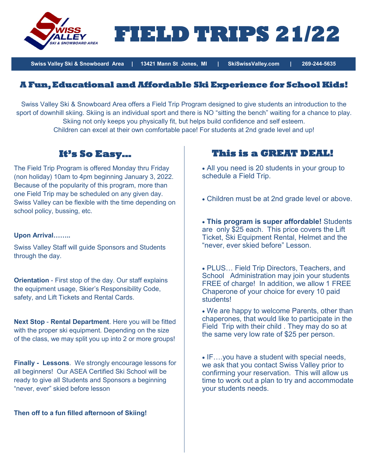

**FIELD TRIPS 21/22** 

**Swiss Valley Ski & Snowboard Area | 13421 Mann St Jones, MI | SkiSwissValley.com | 269-244-5635**

## **A Fun, Educational and Affordable Ski Experience for School Kids!**

Swiss Valley Ski & Snowboard Area offers a Field Trip Program designed to give students an introduction to the sport of downhill skiing. Skiing is an individual sport and there is NO "sitting the bench" waiting for a chance to play. Skiing not only keeps you physically fit, but helps build confidence and self esteem. Children can excel at their own comfortable pace! For students at 2nd grade level and up!

## **It's So Easy…**

The Field Trip Program is offered Monday thru Friday (non holiday) 10am to 4pm beginning January 3, 2022. Because of the popularity of this program, more than one Field Trip may be scheduled on any given day. Swiss Valley can be flexible with the time depending on school policy, bussing, etc.

### **Upon Arrival……..**

Swiss Valley Staff will guide Sponsors and Students through the day.

**Orientation** - First stop of the day. Our staff explains the equipment usage, Skier's Responsibility Code, safety, and Lift Tickets and Rental Cards.

**Next Stop** - **Rental Department**. Here you will be fitted with the proper ski equipment. Depending on the size of the class, we may split you up into 2 or more groups!

**Finally - Lessons**. We strongly encourage lessons for all beginners! Our ASEA Certified Ski School will be ready to give all Students and Sponsors a beginning "never, ever" skied before lesson

**Then off to a fun filled afternoon of Skiing!**

## **This is a GREAT DEAL!**

- All you need is 20 students in your group to schedule a Field Trip.
- Children must be at 2nd grade level or above.

• **This program is super affordable!** Students are only \$25 each. This price covers the Lift Ticket, Ski Equipment Rental, Helmet and the "never, ever skied before" Lesson.

• PLUS… Field Trip Directors, Teachers, and School Administration may join your students FREE of charge! In addition, we allow 1 FREE Chaperone of your choice for every 10 paid students!

• We are happy to welcome Parents, other than chaperones, that would like to participate in the Field Trip with their child . They may do so at the same very low rate of \$25 per person.

• IF….you have a student with special needs, we ask that you contact Swiss Valley prior to confirming your reservation. This will allow us time to work out a plan to try and accommodate your students needs.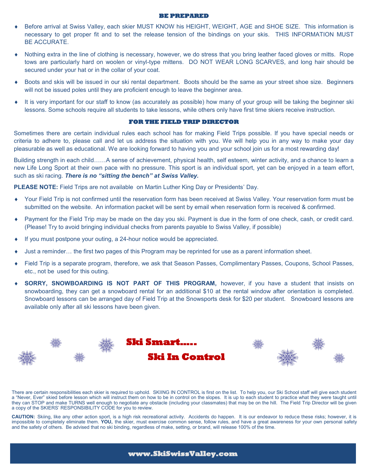#### **BE PREPARED**

- Before arrival at Swiss Valley, each skier MUST KNOW his HEIGHT, WEIGHT, AGE and SHOE SIZE. This information is necessary to get proper fit and to set the release tension of the bindings on your skis. THIS INFORMATION MUST BE ACCURATE.
- Nothing extra in the line of clothing is necessary, however, we do stress that you bring leather faced gloves or mitts. Rope tows are particularly hard on woolen or vinyl-type mittens. DO NOT WEAR LONG SCARVES, and long hair should be secured under your hat or in the collar of your coat.
- Boots and skis will be issued in our ski rental department. Boots should be the same as your street shoe size. Beginners will not be issued poles until they are proficient enough to leave the beginner area.
- It is very important for our staff to know (as accurately as possible) how many of your group will be taking the beginner ski lessons. Some schools require all students to take lessons, while others only have first time skiers receive instruction.

### **FOR THE FIELD TRIP DIRECTOR**

Sometimes there are certain individual rules each school has for making Field Trips possible. If you have special needs or criteria to adhere to, please call and let us address the situation with you. We will help you in any way to make your day pleasurable as well as educational. We are looking forward to having you and your school join us for a most rewarding day!

Building strength in each child……A sense of achievement, physical health, self esteem, winter activity, and a chance to learn a new Life Long Sport at their own pace with no pressure. This sport is an individual sport, yet can be enjoyed in a team effort, such as ski racing. *There is no "sitting the bench" at Swiss Valley.*

**PLEASE NOTE:** Field Trips are not available on Martin Luther King Day or Presidents' Day.

- Your Field Trip is not confirmed until the reservation form has been received at Swiss Valley. Your reservation form must be submitted on the website. An information packet will be sent by email when reservation form is received & confirmed.
- Payment for the Field Trip may be made on the day you ski. Payment is due in the form of one check, cash, or credit card. (Please! Try to avoid bringing individual checks from parents payable to Swiss Valley, if possible)
- $\bullet$  If you must postpone your outing, a 24-hour notice would be appreciated.
- Just a reminder… the first two pages of this Program may be reprinted for use as a parent information sheet.
- Field Trip is a separate program, therefore, we ask that Season Passes, Complimentary Passes, Coupons, School Passes, etc., not be used for this outing.
- **SORRY, SNOWBOARDING IS NOT PART OF THIS PROGRAM,** however, if you have a student that insists on snowboarding, they can get a snowboard rental for an additional \$10 at the rental window after orientation is completed. Snowboard lessons can be arranged day of Field Trip at the Snowsports desk for \$20 per student. Snowboard lessons are available only after all ski lessons have been given.



There are certain responsibilities each skier is required to uphold. SKIING IN CONTROL is first on the list. To help you, our Ski School staff will give each student a "Never, Ever" skied before lesson which will instruct them on how to be in control on the slopes. It is up to each student to practice what they were taught until they can STOP and make TURNS well enough to negotiate any obstacle (including your classmates) that may be on the hill. The Field Trip Director will be given a copy of the SKIERS' RESPONSIBILITY CODE for you to review.

**CAUTION:** Skiing, like any other action sport, is a high risk recreational activity. Accidents do happen. It is our endeavor to reduce these risks; however, it is impossible to completely eliminate them. **YOU,** the skier, must exercise common sense, follow rules, and have a great awareness for your own personal safety and the safety of others. Be advised that no ski binding, regardless of make, setting, or brand, will release 100% of the time.

### **www.SkiSwissValley.com**